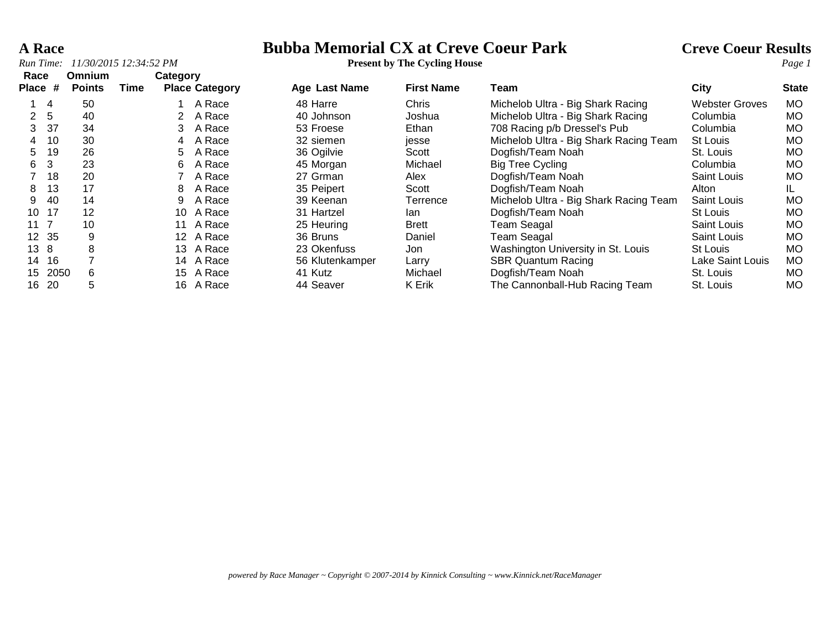**A Race**<br> **Bubba Memorial CX at Creve Coeur Park** Creve Coeur Results<br> **Present by The Cycling House**<br> **Present by The Cycling House** 

| Race                      |                 | Omnium          |      |    | Category              |                      |                   |                                        |                         |              |
|---------------------------|-----------------|-----------------|------|----|-----------------------|----------------------|-------------------|----------------------------------------|-------------------------|--------------|
| <b>Place</b>              | #               | <b>Points</b>   | Time |    | <b>Place Category</b> | <b>Age Last Name</b> | <b>First Name</b> | Team                                   | City                    | <b>State</b> |
|                           | -4              | 50              |      |    | A Race                | 48 Harre             | <b>Chris</b>      | Michelob Ultra - Big Shark Racing      | <b>Webster Groves</b>   | MO.          |
| $\mathbf{2}^{\mathsf{I}}$ | $5\phantom{.0}$ | 40              |      |    | A Race                | 40 Johnson           | Joshua            | Michelob Ultra - Big Shark Racing      | Columbia                | MO.          |
| 3                         | 37              | 34              |      | 3  | A Race                | 53 Froese            | Ethan             | 708 Racing p/b Dressel's Pub           | Columbia                | MO           |
| 4                         | 10              | 30              |      | 4  | A Race                | 32 siemen            | jesse             | Michelob Ultra - Big Shark Racing Team | St Louis                | MO.          |
| 5                         | 19              | 26              |      | 5. | A Race                | 36 Ogilvie           | Scott             | Dogfish/Team Noah                      | St. Louis               | МO           |
| 6                         | 3               | 23              |      | 6  | A Race                | 45 Morgan            | Michael           | <b>Big Tree Cycling</b>                | Columbia                | <b>MO</b>    |
|                           | 18              | 20              |      |    | A Race                | 27 Grman             | Alex              | Dogfish/Team Noah                      | Saint Louis             | <b>MO</b>    |
| 8                         | 13              | 17              |      | 8  | A Race                | 35 Peipert           | Scott             | Dogfish/Team Noah                      | Alton                   | IL.          |
| 9                         | 40              | 14              |      | 9  | A Race                | 39 Keenan            | Terrence          | Michelob Ultra - Big Shark Racing Team | Saint Louis             | <b>MO</b>    |
| 10                        | 17              | 12              |      | 10 | A Race                | 31 Hartzel           | lan.              | Dogfish/Team Noah                      | St Louis                | <b>MO</b>    |
| 11 <sub>7</sub>           |                 | 10 <sup>°</sup> |      | 11 | A Race                | 25 Heuring           | <b>Brett</b>      | Team Seagal                            | Saint Louis             | MO           |
| 12 <sup>7</sup>           | 35              | 9               |      |    | 12 A Race             | 36 Bruns             | Daniel            | Team Seagal                            | Saint Louis             | MO.          |
| 13 8                      |                 | 8               |      | 13 | A Race                | 23 Okenfuss          | Jon.              | Washington University in St. Louis     | St Louis                | MO.          |
| 14                        | 16              |                 |      | 14 | A Race                | 56 Klutenkamper      | Larry             | <b>SBR Quantum Racing</b>              | <b>Lake Saint Louis</b> | <b>MO</b>    |
| 15                        | 2050            | 6               |      | 15 | A Race                | 41 Kutz              | Michael           | Dogfish/Team Noah                      | St. Louis               | <b>MO</b>    |
| 16                        | -20             | 5               |      | 16 | A Race                | 44 Seaver            | K Erik            | The Cannonball-Hub Racing Team         | St. Louis               | <b>MO</b>    |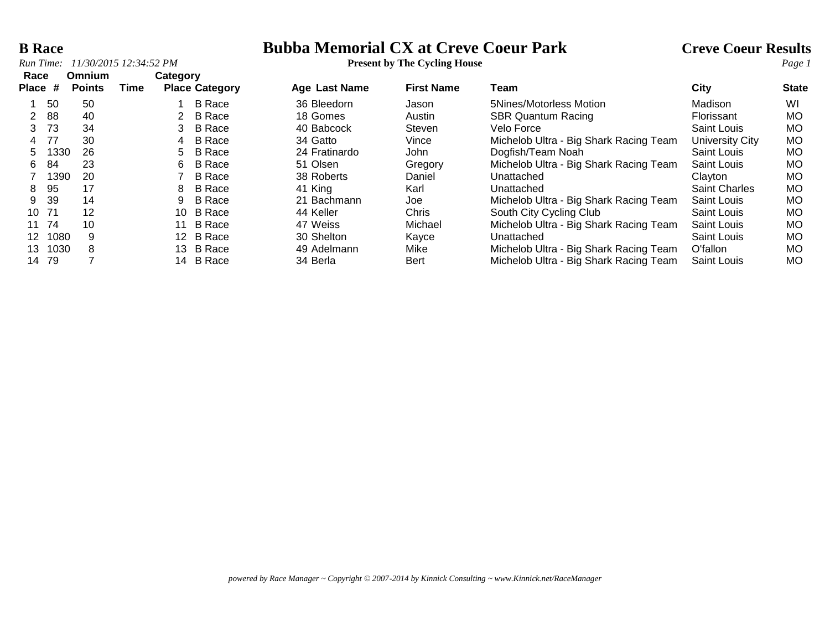# **B Race**<br> **Bubba Memorial CX at Creve Coeur Park** Creve Coeur Results<br> **Present by The Cycling House**<br> **Park** Creve Coeur Results<br> **Page 1**

| Race    |      | <b>Omnium</b> |      |                       | Category      |               |                   |                                        |                      |              |
|---------|------|---------------|------|-----------------------|---------------|---------------|-------------------|----------------------------------------|----------------------|--------------|
| Place # |      | <b>Points</b> | Time | <b>Place Category</b> |               | Age Last Name | <b>First Name</b> | Team                                   | City                 | <b>State</b> |
|         | 50   | 50            |      |                       | <b>B</b> Race | 36 Bleedorn   | Jason             | 5Nines/Motorless Motion                | Madison              | WI           |
|         | 88   | 40            |      |                       | B Race        | 18 Gomes      | Austin            | <b>SBR Quantum Racing</b>              | Florissant           | <b>MO</b>    |
| 3       | -73  | 34            |      | 3                     | <b>B</b> Race | 40 Babcock    | Steven            | Velo Force                             | Saint Louis          | <b>MO</b>    |
| 4       | 77   | 30            |      | 4                     | <b>B</b> Race | 34 Gatto      | Vince             | Michelob Ultra - Big Shark Racing Team | University City      | <b>MO</b>    |
| 5.      | 1330 | 26            |      | 5                     | <b>B</b> Race | 24 Fratinardo | John              | Dogfish/Team Noah                      | Saint Louis          | <b>MO</b>    |
| 6.      | 84   | 23            |      | 6                     | <b>B</b> Race | 51 Olsen      | Gregory           | Michelob Ultra - Big Shark Racing Team | Saint Louis          | <b>MO</b>    |
|         | 1390 | 20            |      |                       | <b>B</b> Race | 38 Roberts    | Daniel            | Unattached                             | Clayton              | <b>MO</b>    |
| 8       | 95   | 17            |      | 8                     | <b>B</b> Race | 41 King       | Karl              | Unattached                             | <b>Saint Charles</b> | <b>MO</b>    |
| 9       | 39   | 14            |      | 9                     | B Race        | 21 Bachmann   | Joe               | Michelob Ultra - Big Shark Racing Team | Saint Louis          | MO.          |
| 10      | -71  | 12            |      | 10                    | B Race        | 44 Keller     | Chris             | South City Cycling Club                | Saint Louis          | <b>MO</b>    |
| 11      | 74   | 10            |      |                       | <b>B</b> Race | 47 Weiss      | Michael           | Michelob Ultra - Big Shark Racing Team | Saint Louis          | <b>MO</b>    |
| 12      | 1080 | 9             |      |                       | 12 B Race     | 30 Shelton    | Kayce             | Unattached                             | Saint Louis          | <b>MO</b>    |
| 13      | 1030 | 8             |      | 13                    | <b>B</b> Race | 49 Adelmann   | Mike              | Michelob Ultra - Big Shark Racing Team | O'fallon             | <b>MO</b>    |
| 14      | 79   |               |      | 14                    | <b>B</b> Race | 34 Berla      | Bert              | Michelob Ultra - Big Shark Racing Team | Saint Louis          | МO           |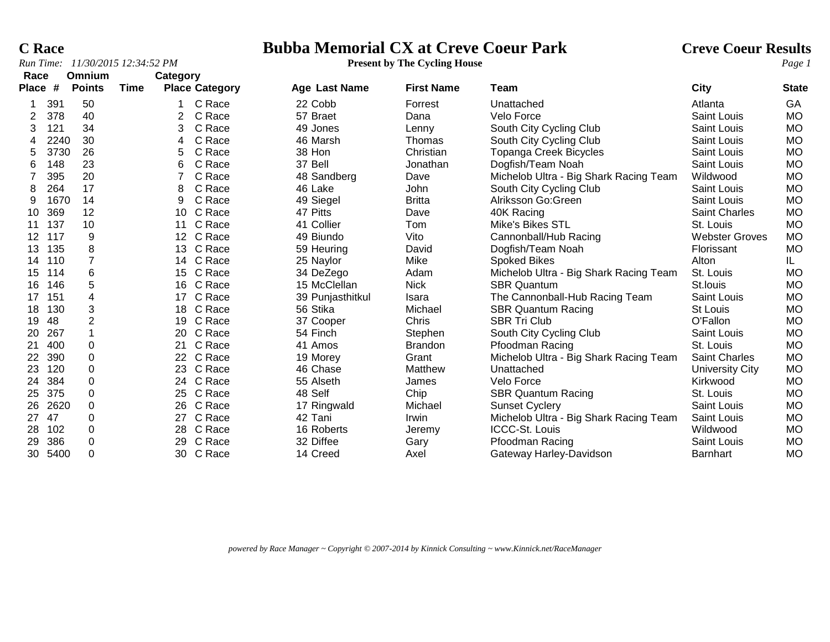### **C Race Bubba Memorial CX at Creve Coeur Park Creve Coeur Results**

| Race              |      | Omnium         |      | Category        |                       |                      |                   |                                        |                       |              |
|-------------------|------|----------------|------|-----------------|-----------------------|----------------------|-------------------|----------------------------------------|-----------------------|--------------|
| <b>Place</b>      | #    | <b>Points</b>  | Time |                 | <b>Place Category</b> | <b>Age Last Name</b> | <b>First Name</b> | Team                                   | City                  | <b>State</b> |
|                   | 391  | 50             |      |                 | C Race                | 22 Cobb              | Forrest           | Unattached                             | Atlanta               | GA           |
|                   | 378  | 40             |      | $\overline{2}$  | C Race                | 57 Braet             | Dana              | Velo Force                             | Saint Louis           | <b>MO</b>    |
| 3                 | 121  | 34             |      | 3               | C Race                | 49 Jones             | Lenny             | South City Cycling Club                | Saint Louis           | <b>MO</b>    |
|                   | 2240 | 30             |      | 4               | C Race                | 46 Marsh             | Thomas            | South City Cycling Club                | Saint Louis           | <b>MO</b>    |
| 5                 | 3730 | 26             |      | 5               | C Race                | 38 Hon               | Christian         | <b>Topanga Creek Bicycles</b>          | Saint Louis           | <b>MO</b>    |
| 6                 | 148  | 23             |      | 6               | C Race                | 37 Bell              | Jonathan          | Dogfish/Team Noah                      | Saint Louis           | <b>MO</b>    |
|                   | 395  | 20             |      |                 | C Race                | 48 Sandberg          | Dave              | Michelob Ultra - Big Shark Racing Team | Wildwood              | <b>MO</b>    |
| 8                 | 264  | 17             |      | 8               | C Race                | 46 Lake              | John              | South City Cycling Club                | Saint Louis           | <b>MO</b>    |
| 9                 | 1670 | 14             |      | 9               | C Race                | 49 Siegel            | <b>Britta</b>     | Alriksson Go:Green                     | Saint Louis           | <b>MO</b>    |
| 10                | 369  | 12             |      | 10              | C Race                | 47 Pitts             | Dave              | 40K Racing                             | <b>Saint Charles</b>  | <b>MO</b>    |
| 11                | 137  | 10             |      | 11              | C Race                | 41 Collier           | Tom               | Mike's Bikes STL                       | St. Louis             | <b>MO</b>    |
| $12 \overline{ }$ | 117  | 9              |      | 12 <sup>°</sup> | C Race                | 49 Biundo            | Vito              | Cannonball/Hub Racing                  | <b>Webster Groves</b> | <b>MO</b>    |
| 13                | 135  | 8              |      | 13              | C Race                | 59 Heuring           | David             | Dogfish/Team Noah                      | Florissant            | <b>MO</b>    |
| 14                | 110  | $\overline{7}$ |      | 14              | C Race                | 25 Naylor            | Mike              | <b>Spoked Bikes</b>                    | Alton                 | IL.          |
| 15                | 114  | 6              |      | 15              | C Race                | 34 DeZego            | Adam              | Michelob Ultra - Big Shark Racing Team | St. Louis             | <b>MO</b>    |
| 16                | 146  | 5              |      | 16              | C Race                | 15 McClellan         | <b>Nick</b>       | <b>SBR Quantum</b>                     | St.louis              | <b>MO</b>    |
| 17                | 151  | 4              |      | 17              | C Race                | 39 Punjasthitkul     | Isara             | The Cannonball-Hub Racing Team         | Saint Louis           | <b>MO</b>    |
| 18                | 130  | 3              |      | 18              | C Race                | 56 Stika             | Michael           | <b>SBR Quantum Racing</b>              | St Louis              | <b>MO</b>    |
| 19                | 48   | 2              |      | 19              | C Race                | 37 Cooper            | Chris             | <b>SBR Tri Club</b>                    | O'Fallon              | <b>MO</b>    |
| 20                | 267  |                |      | <b>20</b>       | C Race                | 54 Finch             | Stephen           | South City Cycling Club                | Saint Louis           | <b>MO</b>    |
| 21                | 400  | 0              |      | 21              | C Race                | 41 Amos              | <b>Brandon</b>    | Pfoodman Racing                        | St. Louis             | <b>MO</b>    |
| 22                | 390  | 0              |      | 22 <sub>2</sub> | C Race                | 19 Morey             | Grant             | Michelob Ultra - Big Shark Racing Team | Saint Charles         | <b>MO</b>    |
| 23                | 120  | 0              |      | 23              | C Race                | 46 Chase             | Matthew           | Unattached                             | University City       | <b>MO</b>    |
| 24                | 384  | $\Omega$       |      |                 | 24 C Race             | 55 Alseth            | James             | Velo Force                             | Kirkwood              | <b>MO</b>    |
| 25                | 375  | 0              |      | 25              | C Race                | 48 Self              | Chip              | <b>SBR Quantum Racing</b>              | St. Louis             | <b>MO</b>    |
| 26                | 2620 | 0              |      | 26              | C Race                | 17 Ringwald          | Michael           | <b>Sunset Cyclery</b>                  | Saint Louis           | <b>MO</b>    |
| 27                | 47   | 0              |      | 27              | C Race                | 42 Tani              | Irwin             | Michelob Ultra - Big Shark Racing Team | Saint Louis           | <b>MO</b>    |
| 28                | 102  | 0              |      | 28              | C Race                | 16 Roberts           | Jeremy            | <b>ICCC-St. Louis</b>                  | Wildwood              | <b>MO</b>    |
| 29                | 386  | 0              |      | 29              | C Race                | 32 Diffee            | Gary              | Pfoodman Racing                        | <b>Saint Louis</b>    | <b>MO</b>    |
| 30                | 5400 | 0              |      | 30              | C Race                | 14 Creed             | Axel              | Gateway Harley-Davidson                | Barnhart              | <b>MO</b>    |

5400 0 30 C Race 14 Creed Axel Gateway Harley-Davidson Barnhart MO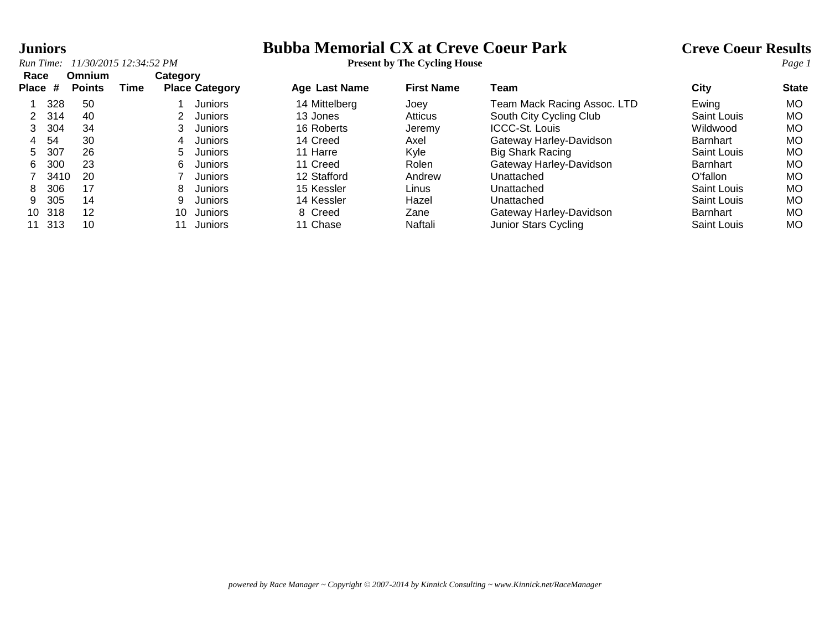### **Juniors Bubba Memorial CX at Creve Coeur Park Creve Coeur Results**

|       |      | Run Time: 11/30/2015 12:34:52 PM |      |          |                       | <b>Present by The Cycling House</b> |                   |                             |                    |              |
|-------|------|----------------------------------|------|----------|-----------------------|-------------------------------------|-------------------|-----------------------------|--------------------|--------------|
| Race  |      | <b>Omnium</b>                    |      | Category |                       |                                     |                   |                             |                    |              |
| Place | #    | <b>Points</b>                    | Time |          | <b>Place Category</b> | Age Last Name                       | <b>First Name</b> | Team                        | City               | <b>State</b> |
|       | 328  | 50                               |      |          | Juniors               | 14 Mittelberg                       | Joev              | Team Mack Racing Assoc. LTD | Ewing              | МO           |
|       | 314  | 40                               |      |          | Juniors               | 13 Jones                            | Atticus           | South City Cycling Club     | Saint Louis        | МO           |
| 3     | 304  | 34                               |      |          | Juniors               | 16 Roberts                          | Jeremy            | <b>ICCC-St. Louis</b>       | Wildwood           | МO           |
| 4     | 54   | 30                               |      | 4        | Juniors               | 14 Creed                            | Axel              | Gateway Harley-Davidson     | Barnhart           | МO           |
| 5.    | 307  | 26                               |      | 5.       | Juniors               | 11 Harre                            | Kyle              | Big Shark Racing            | <b>Saint Louis</b> | МO           |
| 6     | 300  | 23                               |      | 6        | Juniors               | 11 Creed                            | Rolen             | Gateway Harley-Davidson     | Barnhart           | МO           |
|       | 3410 | 20                               |      |          | Juniors               | 12 Stafford                         | Andrew            | Unattached                  | O'fallon           | МO           |
| 8     | 306  | 17                               |      | 8        | Juniors               | 15 Kessler                          | Linus.            | Unattached                  | <b>Saint Louis</b> | МO           |
| 9     | 305  | 14                               |      |          | Juniors               | 14 Kessler                          | Hazel             | Unattached                  | Saint Louis        | МO           |
| 10    | 318  | 12                               |      | 10       | Juniors               | 8 Creed                             | Zane              | Gateway Harley-Davidson     | <b>Barnhart</b>    | МO           |
|       | 313  | 10                               |      |          | Juniors               | 11 Chase                            | Naftali           | Junior Stars Cycling        | Saint Louis        | МO           |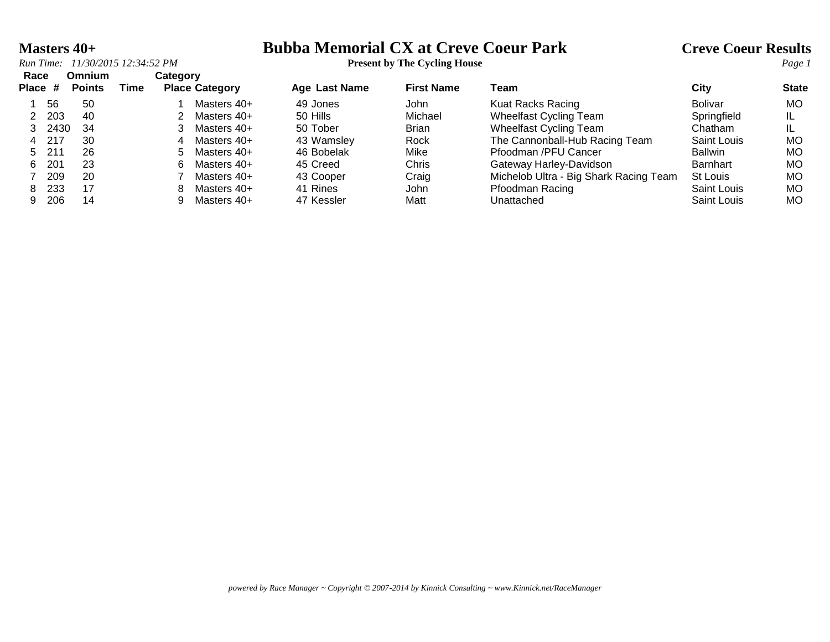## **Masters 40+**<br> **Bubba Memorial CX at Creve Coeur Park** Creve Coeur Results<br> **Present by The Cycling House**

|      | NИН ПИНС. — ПИЛУДУДИ ДАЛТ.ЈА ПИ |                                |      |          |                       | Treschi by The Cycling House |                   |                                        |                    | <i>i</i> uge. |
|------|---------------------------------|--------------------------------|------|----------|-----------------------|------------------------------|-------------------|----------------------------------------|--------------------|---------------|
| Race | Place #                         | <b>Omnium</b><br><b>Points</b> | Time | Category | <b>Place Category</b> | <b>Age Last Name</b>         | <b>First Name</b> | Team                                   | City               | <b>State</b>  |
|      | 56                              | 50                             |      |          | Masters 40+           | 49 Jones                     | John              | Kuat Racks Racing                      | <b>Bolivar</b>     | <b>MO</b>     |
|      | 203                             | 40                             |      |          | Masters 40+           | 50 Hills                     | Michael           | <b>Wheelfast Cycling Team</b>          | Springfield        |               |
|      | 2430                            | -34                            |      |          | Masters 40+           | 50 Tober                     | <b>Brian</b>      | <b>Wheelfast Cycling Team</b>          | Chatham            |               |
|      | 4 217                           | 30                             |      | 4        | Masters 40+           | 43 Wamsley                   | Rock              | The Cannonball-Hub Racing Team         | <b>Saint Louis</b> | <b>MO</b>     |
|      | 5 211                           | 26                             |      |          | 5 Masters 40+         | 46 Bobelak                   | Mike              | Pfoodman /PFU Cancer                   | <b>Ballwin</b>     | <b>MO</b>     |
| 6.   | 201                             | 23                             |      | 6.       | Masters 40+           | 45 Creed                     | Chris             | Gateway Harley-Davidson                | <b>Barnhart</b>    | <b>MO</b>     |
|      | 209                             | 20                             |      |          | Masters 40+           | 43 Cooper                    | Craig             | Michelob Ultra - Big Shark Racing Team | St Louis           | MO.           |
| 8    | 233                             | 17                             |      | 8.       | Masters 40+           | 41 Rines                     | John              | Pfoodman Racing                        | Saint Louis        | <b>MO</b>     |
|      |                                 |                                |      |          |                       |                              |                   |                                        |                    |               |

206 14 9 Masters 40+ 47 Kessler Matt Unattached Saint Louis MO

*powered by Race Manager ~ Copyright © 2007-2014 by Kinnick Consulting ~ www.Kinnick.net/RaceManager*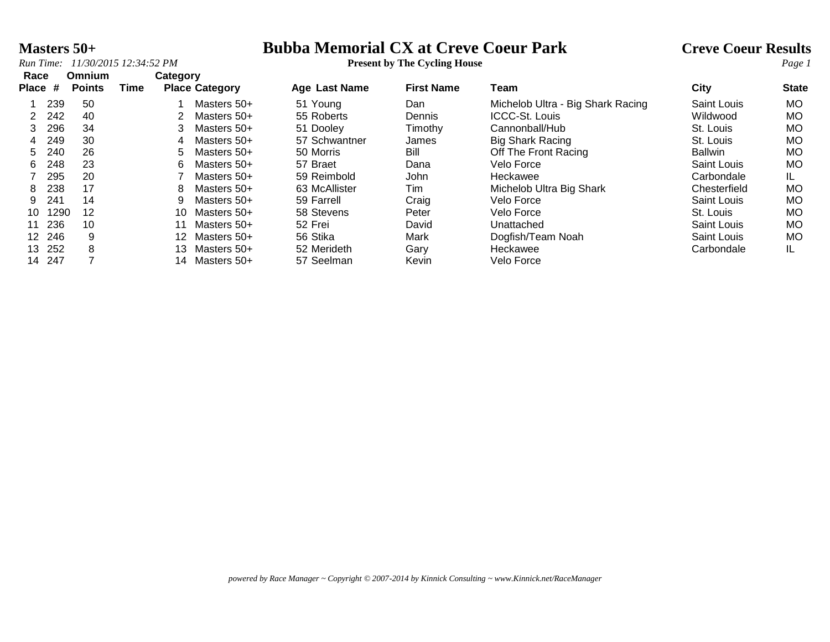## **Masters 50+**<br> **Bubba Memorial CX at Creve Coeur Park** Creve Coeur Results<br> **Present by The Cycling House**<br> **Present by The Cycling House**

| Race    |      | Omnium        |      | Category |                       |               |                   |                                   |              |              |
|---------|------|---------------|------|----------|-----------------------|---------------|-------------------|-----------------------------------|--------------|--------------|
| Place # |      | <b>Points</b> | Time |          | <b>Place Category</b> | Age Last Name | <b>First Name</b> | Team                              | <b>City</b>  | <b>State</b> |
|         | 239  | 50            |      |          | Masters 50+           | 51 Young      | Dan               | Michelob Ultra - Big Shark Racing | Saint Louis  | МO           |
|         | 242  | 40            |      |          | Masters 50+           | 55 Roberts    | Dennis            | <b>ICCC-St. Louis</b>             | Wildwood     | <b>MO</b>    |
|         | 296  | 34            |      | 3        | Masters 50+           | 51 Dooley     | Timothy           | Cannonball/Hub                    | St. Louis    | МO           |
| 4       | 249  | 30            |      | 4        | Masters 50+           | 57 Schwantner | James             | <b>Big Shark Racing</b>           | St. Louis    | МO           |
| 5.      | 240  | 26            |      | 5.       | Masters 50+           | 50 Morris     | Bill              | Off The Front Racing              | Ballwin      | МO           |
| 6.      | 248  | 23            |      | 6.       | Masters 50+           | 57 Braet      | Dana              | Velo Force                        | Saint Louis  | МO           |
|         | 295  | 20            |      |          | Masters 50+           | 59 Reimbold   | John              | Heckawee                          | Carbondale   | IL.          |
| 8       | 238  | 17            |      | 8        | Masters 50+           | 63 McAllister | Tim               | Michelob Ultra Big Shark          | Chesterfield | МO           |
| 9.      | 241  | 14            |      | 9        | Masters 50+           | 59 Farrell    | Craig             | Velo Force                        | Saint Louis  | <b>MO</b>    |
| 10      | 1290 | 12            |      | 10.      | Masters 50+           | 58 Stevens    | Peter             | Velo Force                        | St. Louis    | МO           |
| 11      | 236  | 10            |      |          | Masters 50+           | 52 Frei       | David             | Unattached                        | Saint Louis  | МO           |
| 12 246  |      | 9             |      | 12       | Masters 50+           | 56 Stika      | Mark              | Dogfish/Team Noah                 | Saint Louis  | <b>MO</b>    |
| 13 252  |      | 8             |      | 13.      | Masters 50+           | 52 Merideth   | Gary              | Heckawee                          | Carbondale   | IL           |
| 14      | 247  |               |      | 14       | Masters 50+           | 57 Seelman    | Kevin             | Velo Force                        |              |              |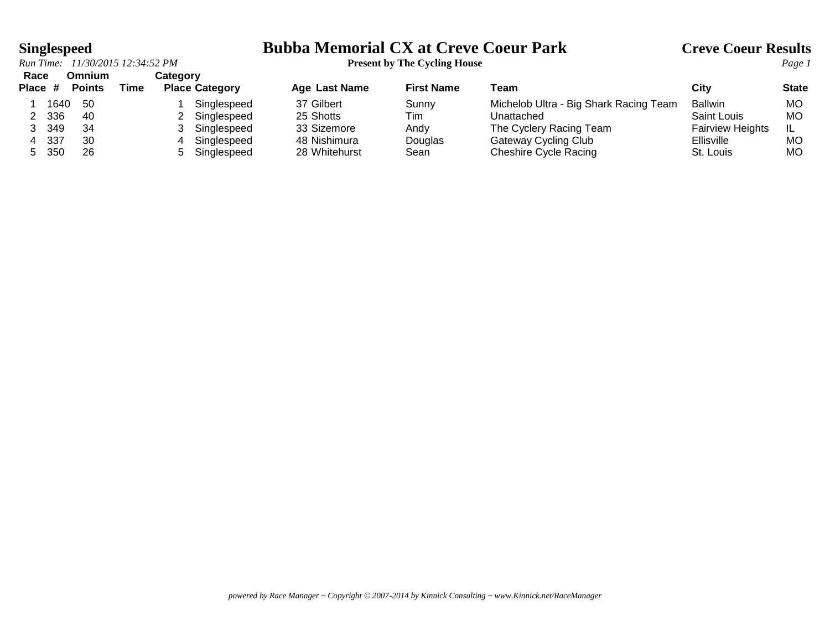# **Singlespeed**<br>*Run Time:* 11/30/2015 12:34:52 PM<br>**Present by The Cycling House**<br>*Page 1*

| Race    |      | Omnium        |      | Categorv              |               |                   |                                        |                         |              |
|---------|------|---------------|------|-----------------------|---------------|-------------------|----------------------------------------|-------------------------|--------------|
| Place # |      | <b>Points</b> | Time | <b>Place Category</b> | Age Last Name | <b>First Name</b> | ™eam                                   | City                    | <b>State</b> |
|         | 1640 | -50           |      | Singlespeed           | 37 Gilbert    | Sunny             | Michelob Ultra - Big Shark Racing Team | <b>Ballwin</b>          | MO           |
|         | 336  | 40            |      | Singlespeed           | 25 Shotts     | Tim               | Unattached                             | Saint Louis             | МC           |
|         | 349  | -34           |      | Singlespeed           | 33 Sizemore   | Andy              | The Cyclery Racing Team                | <b>Fairview Heights</b> | IL           |
| 4       | -337 | 30            |      | Singlespeed           | 48 Nishimura  | Douglas           | Gateway Cycling Club                   | <b>Ellisville</b>       | MO           |
| $5 -$   | 350  | 26            |      | Singlespeed           | 28 Whitehurst | Sean              | Cheshire Cycle Racing                  | St. Louis               | MO           |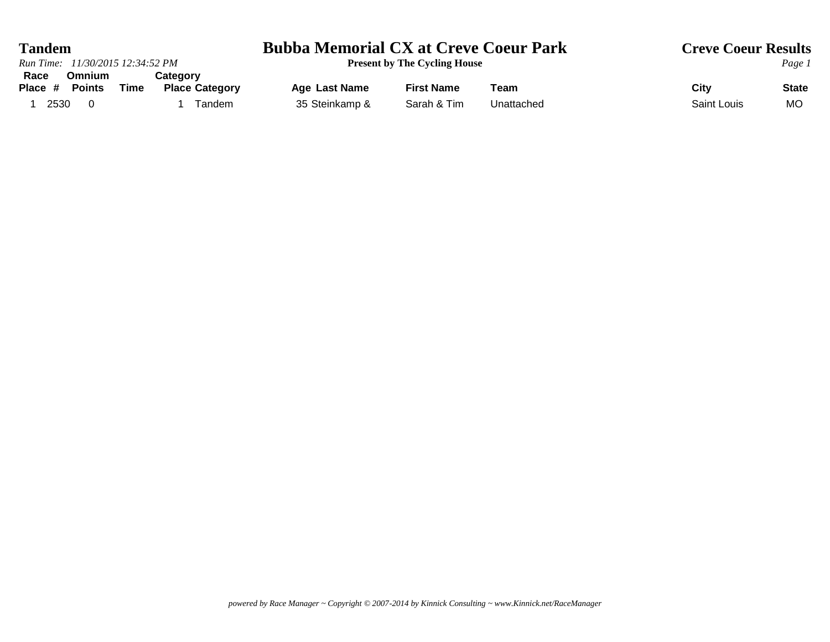| <b>Tandem</b>                                                                                         | <b>Bubba Memorial CX at Creve Coeur Park</b> | <b>Creve Coeur Results</b>          |            |             |              |
|-------------------------------------------------------------------------------------------------------|----------------------------------------------|-------------------------------------|------------|-------------|--------------|
| Run Time: 11/30/2015 12:34:52 PM                                                                      |                                              | <b>Present by The Cycling House</b> |            |             | Page 1       |
| <b>Omnium</b><br>Race<br><b>Category</b><br><b>Points</b><br>Time<br>Place #<br><b>Place Category</b> | Age Last Name                                | <b>First Name</b>                   | Team       | City        | <b>State</b> |
| 2530<br>Tandem                                                                                        | 35 Steinkamp &                               | Sarah & Tim                         | Unattached | Saint Louis | <b>MO</b>    |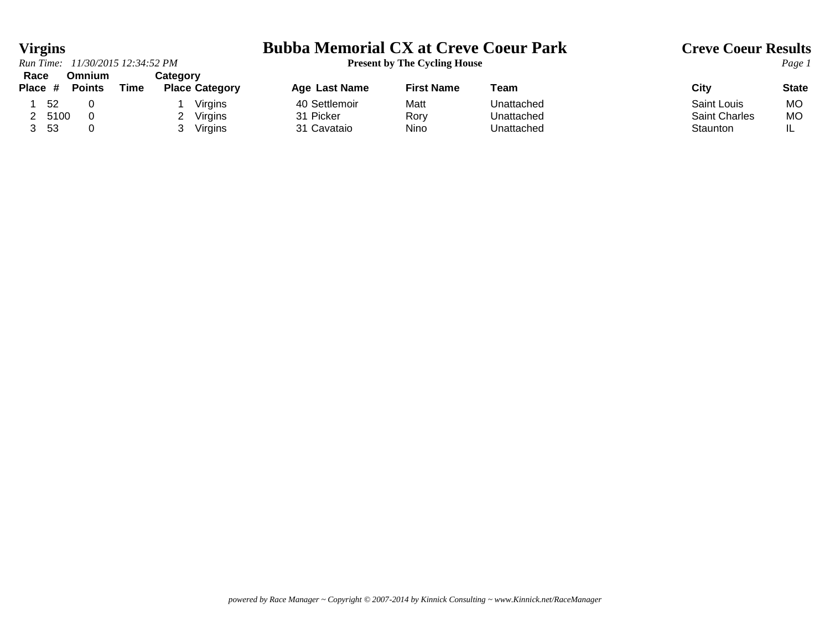### *Run Time:*  $11/30/2015$   $12:34:52$  *PM* **Race Omnium Category**

## **Virgins**<br> **Bubba Memorial CX at Creve Coeur Park** Creve Coeur Results<br> **Present by The Cycling House**

| nace<br>UMMUHI<br>Place #<br><b>Points</b> | Time | ualeyoi v<br><b>Place Category</b> | <b>Age Last Name</b> | <b>First Name</b> | Team       | City                 | <b>State</b> |
|--------------------------------------------|------|------------------------------------|----------------------|-------------------|------------|----------------------|--------------|
| 52                                         |      | Virgins                            | 40 Settlemoir        | Matt              | Unattached | Saint Louis          | MC           |
| 5100                                       |      | Virgins                            | 31 Picker            | Rory              | Unattached | <b>Saint Charles</b> | MC           |
| -53                                        |      | Virgins                            | 31 Cavataio          | Nino              | Unattached | Staunton             | IL           |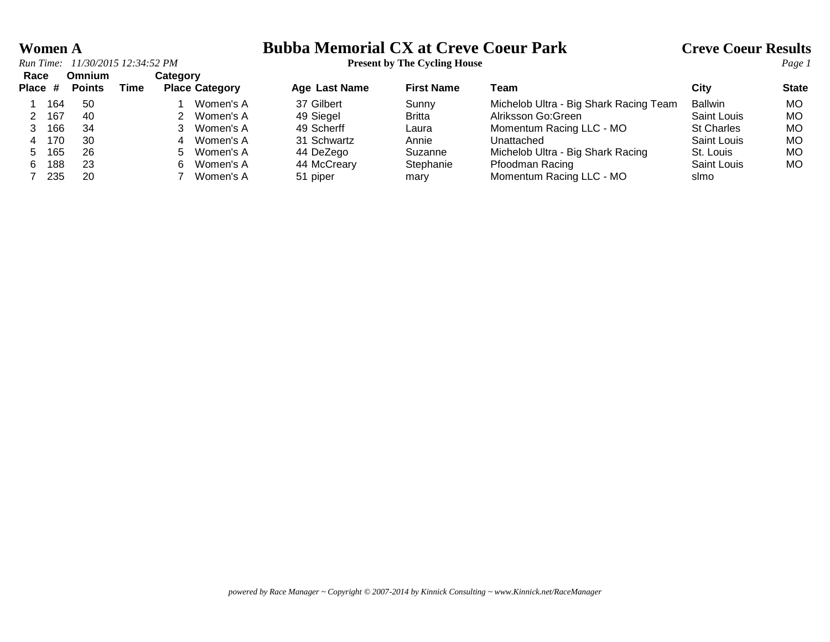### **Women A Bubba Memorial CX at Creve Coeur Park Creve Coeur Results**

| Race<br>Place # |     | <b>Omnium</b><br><b>Points</b> | Time | Category | <b>Place Category</b> | <b>Age Last Name</b> | <b>First Name</b> | Team                                   | City              | <b>State</b> |
|-----------------|-----|--------------------------------|------|----------|-----------------------|----------------------|-------------------|----------------------------------------|-------------------|--------------|
|                 |     |                                |      |          |                       |                      |                   |                                        |                   |              |
|                 | 164 | -50                            |      |          | Women's A             | 37 Gilbert           | Sunny             | Michelob Ultra - Big Shark Racing Team | <b>Ballwin</b>    | МO           |
|                 | 167 | 40                             |      |          | Women's A             | 49 Siegel            | <b>Britta</b>     | Alriksson Go: Green                    | Saint Louis       | МO           |
|                 | 166 | 34                             |      |          | Women's A             | 49 Scherff           | Laura             | Momentum Racing LLC - MO               | <b>St Charles</b> | МO           |
| 4               | 170 | 30                             |      |          | Women's A             | 31 Schwartz          | Annie             | Unattached                             | Saint Louis       | МO           |
| 5.              | 165 | 26                             |      | 5.       | Women's A             | 44 DeZego            | Suzanne           | Michelob Ultra - Big Shark Racing      | St. Louis         | МO           |
| 6.              | 188 | 23                             |      | 6.       | Women's A             | 44 McCreary          | Stephanie         | Pfoodman Racing                        | Saint Louis       | <b>MO</b>    |
|                 | 235 | 20                             |      |          | Women's A             | 51 piper             | mary              | Momentum Racing LLC - MO               | slmo              |              |